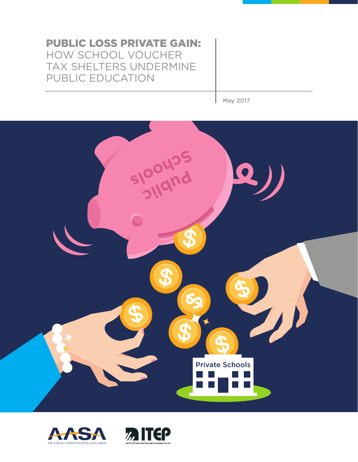# PUBLIC LOSS PRIVATE GAIN: HOW SCHOOL VOUCHER TAX SHELTERS UNDERMINE PUBLIC EDUCATION

May 2017





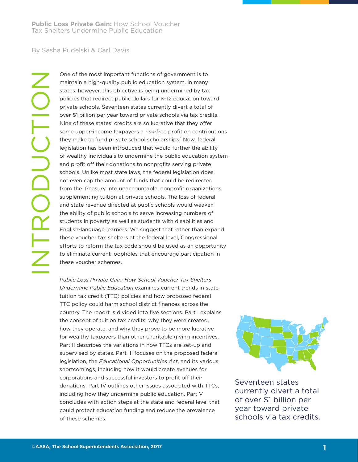# By Sasha Pudelski & Carl Davis

INTRODUCTION UPODUCTIO

One of the most important functions of government is to maintain a high-quality public education system. In many states, however, this objective is being undermined by tax policies that redirect public dollars for K–12 education toward private schools. Seventeen states currently divert a total of over \$1 billion per year toward private schools via tax credits. Nine of these states' credits are so lucrative that they offer some upper-income taxpayers a risk-free profit on contributions they make to fund private school scholarships.<sup>1</sup> Now, federal legislation has been introduced that would further the ability of wealthy individuals to undermine the public education system and profit off their donations to nonprofits serving private schools. Unlike most state laws, the federal legislation does not even cap the amount of funds that could be redirected from the Treasury into unaccountable, nonprofit organizations supplementing tuition at private schools. The loss of federal and state revenue directed at public schools would weaken the ability of public schools to serve increasing numbers of students in poverty as well as students with disabilities and English-language learners. We suggest that rather than expand these voucher tax shelters at the federal level, Congressional efforts to reform the tax code should be used as an opportunity to eliminate current loopholes that encourage participation in these voucher schemes.

*Public Loss Private Gain: How School Voucher Tax Shelters Undermine Public Education* examines current trends in state tuition tax credit (TTC) policies and how proposed federal TTC policy could harm school district finances across the country. The report is divided into five sections. Part I explains the concept of tuition tax credits, why they were created, how they operate, and why they prove to be more lucrative for wealthy taxpayers than other charitable giving incentives. Part II describes the variations in how TTCs are set-up and supervised by states. Part III focuses on the proposed federal legislation, the *Educational Opportunities Act*, and its various shortcomings, including how it would create avenues for corporations and successful investors to profit off their donations. Part IV outlines other issues associated with TTCs, including how they undermine public education. Part V concludes with action steps at the state and federal level that could protect education funding and reduce the prevalence of these schemes.



Seventeen states currently divert a total of over \$1 billion per year toward private schools via tax credits.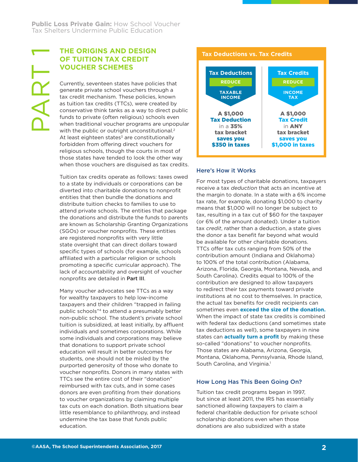# **THE ORIGINS AND DESIGN OF TUITION TAX CREDIT VOUCHER SCHEMES**

Currently, seventeen states have policies that generate private school vouchers through a tax credit mechanism. These policies, known as tuition tax credits (TTCs), were created by conservative think tanks as a way to direct public funds to private (often religious) schools even when traditional voucher programs are unpopular with the public or outright unconstitutional.<sup>2</sup> At least eighteen states<sup>3</sup> are constitutionally forbidden from offering direct vouchers for religious schools, though the courts in most of those states have tended to look the other way when those vouchers are disguised as tax credits.

Tuition tax credits operate as follows: taxes owed to a state by individuals or corporations can be diverted into charitable donations to nonprofit entities that then bundle the donations and distribute tuition checks to families to use to attend private schools. The entities that package the donations and distribute the funds to parents are known as Scholarship Granting Organizations (SGOs) or voucher nonprofits. These entities are registered nonprofits with very little state oversight that can direct dollars toward specific types of schools (for example, schools affiliated with a particular religion or schools promoting a specific curricular approach). The lack of accountability and oversight of voucher nonprofits are detailed in Part III.

Many voucher advocates see TTCs as a way for wealthy taxpayers to help low-income taxpayers and their children "trapped in failing public schools"4 to attend a presumably better non-public school. The student's private school tuition is subsidized, at least initially, by affluent individuals and sometimes corporations. While some individuals and corporations may believe that donations to support private school education will result in better outcomes for students, one should not be misled by the purported generosity of those who donate to voucher nonprofits. Donors in many states with TTCs see the entire cost of their "donation" reimbursed with tax cuts, and in some cases donors are even profiting from their donations to voucher organizations by claiming multiple tax cuts on each donation. Both situations bear little resemblance to philanthropy, and instead undermine the tax base that funds public education.



### Here's How it Works

For most types of charitable donations, taxpayers receive a tax *deduction* that acts an incentive at the margin to donate. In a state with a 6% income tax rate, for example, donating \$1,000 to charity means that \$1,000 will no longer be subject to tax, resulting in a tax cut of \$60 for the taxpayer (or 6% of the amount donated). Under a tuition tax *credit*, rather than a deduction, a state gives the donor a tax benefit far beyond what would be available for other charitable donations. TTCs offer tax cuts ranging from 50% of the contribution amount (Indiana and Oklahoma) to 100% of the total contribution (Alabama, Arizona, Florida, Georgia, Montana, Nevada, and South Carolina). Credits equal to 100% of the contribution are designed to allow taxpayers to redirect their tax payments toward private institutions at no cost to themselves. In practice, the actual tax benefits for credit recipients can sometimes even **exceed the size of the donation.**  When the impact of state tax credits is combined with federal tax deductions (and sometimes state tax deductions as well), some taxpayers in nine states can **actually turn a profit** by making these so-called "donations" to voucher nonprofits. Those states are Alabama, Arizona, Georgia, Montana, Oklahoma, Pennsylvania, Rhode Island, South Carolina, and Virginia.<sup>1</sup>

## How Long Has This Been Going On?

Tuition tax credit programs began in 1997, but since at least 2011, the IRS has essentially sanctioned allowing taxpayers to claim a federal charitable deduction for private school scholarship donations even when those donations are also subsidized with a state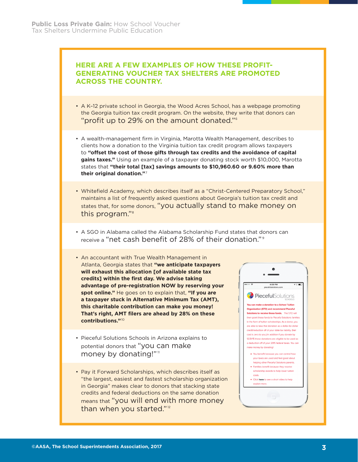# **HERE ARE A FEW EXAMPLES OF HOW THESE PROFIT-GENERATING VOUCHER TAX SHELTERS ARE PROMOTED ACROSS THE COUNTRY.**

- A K–12 private school in Georgia, the Wood Acres School, has a webpage promoting the Georgia tuition tax credit program. On the website, they write that donors can "profit up to 29% on the amount donated."6
- A wealth-management firm in Virginia, Marotta Wealth Management, describes to clients how a donation to the Virginia tuition tax credit program allows taxpayers to **"offset the cost of those gifts through tax credits and the avoidance of capital gains taxes."** Using an example of a taxpayer donating stock worth \$10,000, Marotta states that **"their total [tax] savings amounts to \$10,960.60 or 9.60% more than their original donation."**<sup>7</sup>
- Whitefield Academy, which describes itself as a "Christ-Centered Preparatory School," maintains a list of frequently asked questions about Georgia's tuition tax credit and states that, for some donors, "you actually stand to make money on this program."8
- A SGO in Alabama called the Alabama Scholarship Fund states that donors can receive a "net cash benefit of 28% of their donation."<sup>9</sup>
- An accountant with True Wealth Management in Atlanta, Georgia states that **"we anticipate taxpayers will exhaust this allocation [of available state tax credits] within the first day. We advise taking advantage of pre-registration NOW by reserving your spot online."** He goes on to explain that, **"If you are a taxpayer stuck in Alternative Minimum Tax (AMT), this charitable contribution can make you money! That's right, AMT filers are ahead by 28% on these contributions."**<sup>10</sup>
- Pieceful Solutions Schools in Arizona explains to potential donors that "you can make money by donating!"<sup>11</sup>
- Pay it Forward Scholarships, which describes itself as "the largest, easiest and fastest scholarship organization in Georgia" makes clear to donors that stacking state credits and federal deductions on the same donation means that "you will end with more money than when you started."<sup>12</sup>

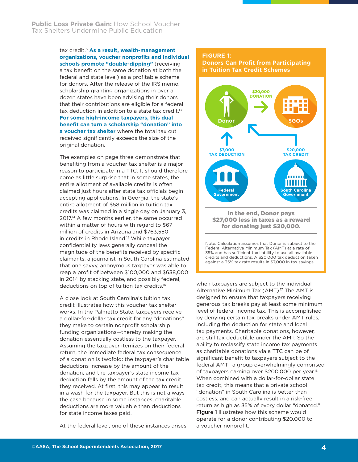#### tax credit.5 **As a result, wealth-management organizations, voucher nonprofits and individual schools promote "double-dipping"** (receiving a tax benefit on the same donation at both the federal and state level) as a profitable scheme for donors. After the release of the IRS memo, scholarship granting organizations in over a dozen states have been advising their donors that their contributions are eligible for a federal tax deduction in addition to a state tax credit.<sup>13</sup> **For some high-income taxpayers, this dual benefit can turn a scholarship "donation" into a voucher tax shelter** where the total tax cut received significantly exceeds the size of the original donation.

The examples on page three demonstrate that benefiting from a voucher tax shelter is a major reason to participate in a TTC. It should therefore come as little surprise that in some states, the entire allotment of available credits is often claimed just hours after state tax officials begin accepting applications. In Georgia, the state's entire allotment of \$58 million in tuition tax credits was claimed in a single day on January 3, 2017.14 A few months earlier, the same occurred within a matter of hours with regard to \$67 million of credits in Arizona and \$763,550 in credits in Rhode Island.<sup>15</sup> While taxpayer confidentiality laws generally conceal the magnitude of the benefits received by specific claimants, a journalist in South Carolina estimated that one savvy, anonymous taxpayer was able to reap a profit of between \$100,000 and \$638,000 in 2014 by stacking state, and possibly federal, deductions on top of tuition tax credits.16

A close look at South Carolina's tuition tax credit illustrates how this voucher tax shelter works. In the Palmetto State, taxpayers receive a dollar-for-dollar tax credit for any "donations" they make to certain nonprofit scholarship funding organizations—thereby making the donation essentially costless to the taxpayer. Assuming the taxpayer itemizes on their federal return, the immediate federal tax consequence of a donation is twofold: the taxpayer's charitable deductions increase by the amount of the donation, and the taxpayer's state income tax deduction falls by the amount of the tax credit they received. At first, this may appear to result in a wash for the taxpayer. But this is not always the case because in some instances, charitable deductions are more valuable than deductions for state income taxes paid.

At the federal level, one of these instances arises

## **FIGURE 1:**

#### **Donors Can Profit from Participating in Tuition Tax Credit Schemes**

![](_page_4_Figure_7.jpeg)

Federal Alternative Minimum Tax (AMT) at a rate of 35% and has sufficient tax liability to use all available credits and deductions. A \$20,000 tax deduction taken against a 35% tax rate results in \$7,000 in tax savings.

when taxpayers are subject to the individual Alternative Minimum Tax (AMT).<sup>17</sup> The AMT is designed to ensure that taxpayers receiving generous tax breaks pay at least some minimum level of federal income tax. This is accomplished by denying certain tax breaks under AMT rules, including the deduction for state and local tax payments. Charitable donations, however, are still tax deductible under the AMT. So the ability to reclassify state income tax payments as charitable donations via a TTC can be of significant benefit to taxpayers subject to the federal AMT—a group overwhelmingly comprised of taxpayers earning over \$200,000 per year.<sup>18</sup> When combined with a dollar-for-dollar state tax credit, this means that a private school "donation" in South Carolina is better than costless, and can actually result in a risk-free return as high as 35% of every dollar "donated." **Figure 1** illustrates how this scheme would operate for a donor contributing \$20,000 to a voucher nonprofit.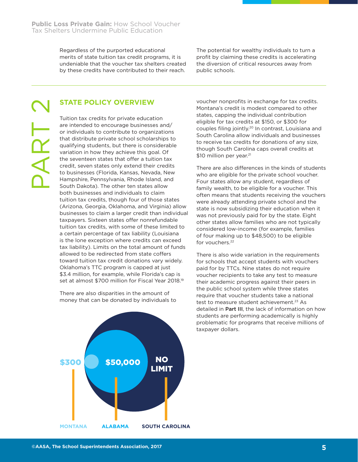Regardless of the purported educational merits of state tuition tax credit programs, it is undeniable that the voucher tax shelters created by these credits have contributed to their reach.

The potential for wealthy individuals to turn a profit by claiming these credits is accelerating the diversion of critical resources away from public schools.

AR I

# **STATE POLICY OVERVIEW**

Tuition tax credits for private education are intended to encourage businesses and/ or individuals to contribute to organizations that distribute private school scholarships to qualifying students, but there is considerable variation in how they achieve this goal. Of the seventeen states that offer a tuition tax credit, seven states only extend their credits to businesses (Florida, Kansas, Nevada, New Hampshire, Pennsylvania, Rhode Island, and South Dakota). The other ten states allow both businesses and individuals to claim tuition tax credits, though four of those states (Arizona, Georgia, Oklahoma, and Virginia) allow businesses to claim a larger credit than individual taxpayers. Sixteen states offer nonrefundable tuition tax credits, with some of these limited to a certain percentage of tax liability (Louisiana is the lone exception where credits can exceed tax liability). Limits on the total amount of funds allowed to be redirected from state coffers toward tuition tax credit donations vary widely. Oklahoma's TTC program is capped at just \$3.4 million, for example, while Florida's cap is set at almost \$700 million for Fiscal Year 2018.19

There are also disparities in the amount of money that can be donated by individuals to voucher nonprofits in exchange for tax credits. Montana's credit is modest compared to other states, capping the individual contribution eligible for tax credits at \$150, or \$300 for couples filing jointly.20 In contrast, Louisiana and South Carolina allow individuals and businesses to receive tax credits for donations of any size, though South Carolina caps overall credits at \$10 million per year.<sup>21</sup>

There are also differences in the kinds of students who are eligible for the private school voucher. Four states allow any student, regardless of family wealth, to be eligible for a voucher. This often means that students receiving the vouchers were already attending private school and the state is now subsidizing their education when it was not previously paid for by the state. Eight other states allow families who are not typically considered low-income (for example, families of four making up to \$48,500) to be eligible for vouchers.<sup>22</sup>

There is also wide variation in the requirements for schools that accept students with vouchers paid for by TTCs. Nine states do not require voucher recipients to take any test to measure their academic progress against their peers in the public school system while three states require that voucher students take a national test to measure student achievement.<sup>23</sup> As detailed in Part III, the lack of information on how students are performing academically is highly problematic for programs that receive millions of taxpayer dollars.

![](_page_5_Figure_10.jpeg)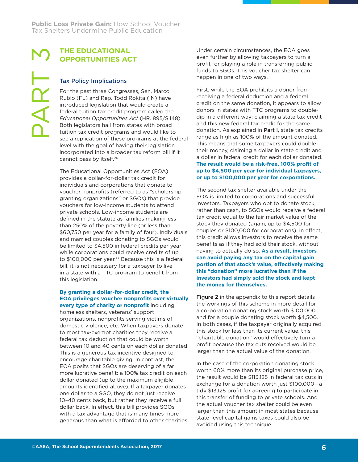# **THE EDUCATIONAL OPPORTUNITIES ACT**

# Tax Policy Implications

PART<br>3

For the past three Congresses, Sen. Marco Rubio (FL) and Rep. Todd Rokita (IN) have introduced legislation that would create a federal tuition tax credit program called the *Educational Opportunities Act* (HR. 895/S.148). Both legislators hail from states with broad tuition tax credit programs and would like to see a replication of these programs at the federal level with the goal of having their legislation incorporated into a broader tax reform bill if it cannot pass by itself.<sup>26</sup>

The Educational Opportunities Act (EOA) provides a dollar-for-dollar tax credit for individuals and corporations that donate to voucher nonprofits (referred to as "scholarship granting organizations" or SGOs) that provide vouchers for low-income students to attend private schools. Low-income students are defined in the statute as families making less than 250% of the poverty line (or less than \$60,750 per year for a family of four). Individuals and married couples donating to SGOs would be limited to \$4,500 in federal credits per year while corporations could receive credits of up to \$100,000 per year.<sup>27</sup> Because this is a federal bill, it is not necessary for a taxpayer to live in a state with a TTC program to benefit from this legislation.

#### **By granting a dollar-for-dollar credit, the EOA privileges voucher nonprofits over virtually every type of charity or nonprofit** including

homeless shelters, veterans' support organizations, nonprofits serving victims of domestic violence, etc. When taxpayers donate to most tax-exempt charities they receive a federal tax deduction that could be worth between 10 and 40 cents on each dollar donated. This is a generous tax incentive designed to encourage charitable giving. In contrast, the EOA posits that SGOs are deserving of a far more lucrative benefit: a 100% tax credit on each dollar donated (up to the maximum eligible amounts identified above). If a taxpayer donates one dollar to a SGO, they do not just receive 10–40 cents back, but rather they receive a full dollar back. In effect, this bill provides SGOs with a tax advantage that is many times more generous than what is afforded to other charities. Under certain circumstances, the EOA goes even further by allowing taxpayers to turn a profit for playing a role in transferring public funds to SGOs. This voucher tax shelter can happen in one of two ways.

First, while the EOA prohibits a donor from receiving a federal deduction and a federal credit on the same donation, it appears to allow donors in states with TTC programs to doubledip in a different way: claiming a state tax credit and this new federal tax credit for the same donation. As explained in Part I, state tax credits range as high as 100% of the amount donated. This means that some taxpayers could double their money, claiming a dollar in state credit and a dollar in federal credit for each dollar donated. **The result would be a risk-free, 100% profit of up to \$4,500 per year for individual taxpayers, or up to \$100,000 per year for corporations.**

The second tax shelter available under the EOA is limited to corporations and successful investors. Taxpayers who opt to donate stock, rather than cash, to SGOs would receive a federal tax credit equal to the fair market value of the stock they donated (again, up to \$4,500 for couples or \$100,000 for corporations). In effect, this credit allows investors to receive the same benefits as if they had sold their stock, without having to actually do so. **As a result, investors can avoid paying any tax on the capital gain portion of that stock's value, effectively making this "donation" more lucrative than if the investors had simply sold the stock and kept the money for themselves.**

Figure 2 in the appendix to this report details the workings of this scheme in more detail for a corporation donating stock worth \$100,000, and for a couple donating stock worth \$4,500. In both cases, if the taxpayer originally acquired this stock for less than its current value, this "charitable donation" would effectively turn a profit because the tax cuts received would be larger than the actual value of the donation.

In the case of the corporation donating stock worth 60% more than its original purchase price, the result would be \$113,125 in federal tax cuts in exchange for a donation worth just \$100,000—a tidy \$13,125 profit for agreeing to participate in this transfer of funding to private schools. And the actual voucher tax shelter could be even larger than this amount in most states because state-level capital gains taxes could also be avoided using this technique.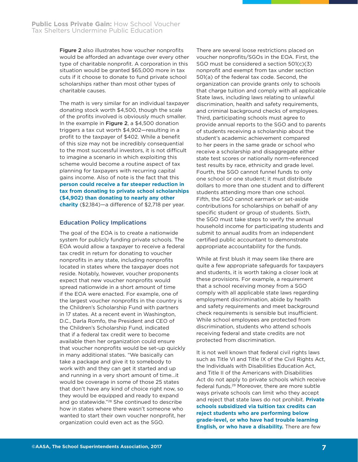Figure 2 also illustrates how voucher nonprofits would be afforded an advantage over every other type of charitable nonprofit. A corporation in this situation would be granted \$65,000 more in tax cuts if it choose to donate to fund private school scholarships rather than most other types of charitable causes.

The math is very similar for an individual taxpayer donating stock worth \$4,500, though the scale of the profits involved is obviously much smaller. In the example in Figure 2, a \$4,500 donation triggers a tax cut worth \$4,902—resulting in a profit to the taxpayer of \$402. While a benefit of this size may not be incredibly consequential to the most successful investors, it is not difficult to imagine a scenario in which exploiting this scheme would become a routine aspect of tax planning for taxpayers with recurring capital gains income. Also of note is the fact that this **person could receive a far steeper reduction in tax from donating to private school scholarships (\$4,902) than donating to nearly any other charity** (\$2,184)—a difference of \$2,718 per year.

#### Education Policy Implications

The goal of the EOA is to create a nationwide system for publicly funding private schools. The EOA would allow a taxpayer to receive a federal tax credit in return for donating to voucher nonprofits in any state, including nonprofits located in states where the taxpayer does not reside. Notably, however, voucher proponents expect that new voucher nonprofits would spread nationwide in a short amount of time if the EOA were enacted. For example, one of the largest voucher nonprofits in the country is the Children's Scholarship Fund with partners in 17 states. At a recent event in Washington, D.C., Darla Romfo, the President and CEO of the Children's Scholarship Fund, indicated that if a federal tax credit were to become available then her organization could ensure that voucher nonprofits would be set-up quickly in many additional states. "We basically can take a package and give it to somebody to work with and they can get it started and up and running in a very short amount of time…it would be coverage in some of those 25 states that don't have any kind of choice right now, so they would be equipped and ready to expand and go statewide."28 She continued to describe how in states where there wasn't someone who wanted to start their own voucher nonprofit, her organization could even act as the SGO.

There are several loose restrictions placed on voucher nonprofits/SGOs in the EOA. First, the SGO must be considered a section 501(c)(3) nonprofit and exempt from tax under section 501(a) of the federal tax code. Second, the organization can provide grants only to schools that charge tuition and comply with all applicable State laws, including laws relating to unlawful discrimination, health and safety requirements, and criminal background checks of employees. Third, participating schools must agree to provide annual reports to the SGO and to parents of students receiving a scholarship about the student's academic achievement compared to her peers in the same grade or school who receive a scholarship and disaggregate either state test scores or nationally norm-referenced test results by race, ethnicity and grade level. Fourth, the SGO cannot funnel funds to only one school or one student; it must distribute dollars to more than one student and to different students attending more than one school. Fifth, the SGO cannot earmark or set-aside contributions for scholarships on behalf of any specific student or group of students. Sixth, the SGO must take steps to verify the annual household income for participating students and submit to annual audits from an independent certified public accountant to demonstrate appropriate accountability for the funds.

While at first blush it may seem like there are quite a few appropriate safeguards for taxpayers and students, it is worth taking a closer look at these provisions. For example, a requirement that a school receiving money from a SGO comply with all applicable state laws regarding employment discrimination, abide by health and safety requirements and meet background check requirements is sensible but insufficient. While school employees are protected from discrimination, students who attend schools receiving federal and state credits are not protected from discrimination.

It is not well known that federal civil rights laws such as Title VI and Title IX of the Civil Rights Act, the Individuals with Disabilities Education Act, and Title II of the Americans with Disabilities Act do not apply to private schools which receive federal funds.29 Moreover, there are more subtle ways private schools can limit who they accept and reject that state laws do not prohibit. **Private schools subsidized via tuition tax credits can reject students who are performing below grade-level, or who have had trouble learning English, or who have a disability.** There are few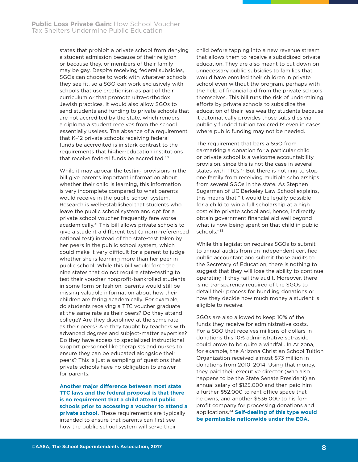states that prohibit a private school from denying a student admission because of their religion or because they, or members of their family may be gay. Despite receiving federal subsidies, SGOs can choose to work with whatever schools they see fit, so a SGO can work exclusively with schools that use creationism as part of their curriculum or that promote ultra-orthodox Jewish practices. It would also allow SGOs to send students and funding to private schools that are not accredited by the state, which renders a diploma a student receives from the school essentially useless. The absence of a requirement that K–12 private schools receiving federal funds be accredited is in stark contrast to the requirements that higher-education institutions that receive federal funds be accredited.30

While it may appear the testing provisions in the bill give parents important information about whether their child is learning, this information is very incomplete compared to what parents would receive in the public-school system. Research is well-established that students who leave the public school system and opt for a private school voucher frequently fare worse academically.<sup>31</sup> This bill allows private schools to give a student a different test (a norm-referenced national test) instead of the state-test taken by her peers in the public school system, which could make it very difficult for a parent to judge whether she is learning more than her peer in public school. While this bill would force the nine states that do not require state-testing to test their voucher nonprofit-bankrolled students in some form or fashion, parents would still be missing valuable information about how their children are faring academically. For example, do students receiving a TTC voucher graduate at the same rate as their peers? Do they attend college? Are they disciplined at the same rate as their peers? Are they taught by teachers with advanced degrees and subject-matter expertise? Do they have access to specialized instructional support personnel like therapists and nurses to ensure they can be educated alongside their peers? This is just a sampling of questions that private schools have no obligation to answer for parents.

**Another major difference between most state TTC laws and the federal proposal is that there is no requirement that a child attend public schools prior to accessing a voucher to attend a private school.** These requirements are typically intended to ensure that parents can first see how the public school system will serve their

child before tapping into a new revenue stream that allows them to receive a subsidized private education. They are also meant to cut down on unnecessary public subsidies to families that would have enrolled their children in private school even without the program, perhaps with the help of financial aid from the private schools themselves. This bill runs the risk of undermining efforts by private schools to subsidize the education of their less wealthy students because it automatically provides those subsidies via publicly funded tuition tax credits even in cases where public funding may not be needed.

The requirement that bars a SGO from earmarking a donation for a particular child or private school is a welcome accountability provision, since this is not the case in several states with TTCs.<sup>32</sup> But there is nothing to stop one family from receiving multiple scholarships from several SGOs in the state. As Stephen Sugarman of UC Berkeley Law School explains, this means that "it would be legally possible for a child to win a full scholarship at a high cost elite private school and, hence, indirectly obtain government financial aid well beyond what is now being spent on that child in public schools."33

While this legislation requires SGOs to submit to annual audits from an independent certified public accountant and submit those audits to the Secretary of Education, there is nothing to suggest that they will lose the ability to continue operating if they fail the audit. Moreover, there is no transparency required of the SGOs to detail their process for bundling donations or how they decide how much money a student is eligible to receive.

SGOs are also allowed to keep 10% of the funds they receive for administrative costs. For a SGO that receives millions of dollars in donations this 10% administrative set-aside could prove to be quite a windfall. In Arizona, for example, the Arizona Christian School Tuition Organization received almost \$73 million in donations from 2010–2014. Using that money, they paid their executive director (who also happens to be the State Senate President) an annual salary of \$125,000 and then paid him a further \$52,000 to rent office space that he owns, and another \$636,000 to his forprofit company for processing donations and applications.34 **Self-dealing of this type would be permissible nationwide under the EOA.**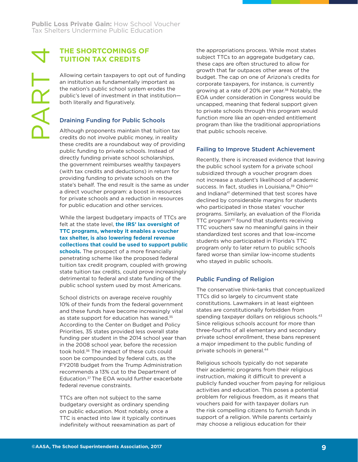PART

# **THE SHORTCOMINGS OF TUITION TAX CREDITS**

Allowing certain taxpayers to opt out of funding an institution as fundamentally important as the nation's public school system erodes the public's level of investment in that institution both literally and figuratively.

# Draining Funding for Public Schools

Although proponents maintain that tuition tax credits do not involve public money, in reality these credits are a roundabout way of providing public funding to private schools. Instead of directly funding private school scholarships, the government reimburses wealthy taxpayers (with tax credits and deductions) in return for providing funding to private schools on the state's behalf. The end result is the same as under a direct voucher program: a boost in resources for private schools and a reduction in resources for public education and other services.

While the largest budgetary impacts of TTCs are felt at the state level, **the IRS' lax oversight of TTC programs, whereby it enables a voucher tax shelter, is also lowering federal revenue collections that could be used to support public schools.** The prospect of a more financially penetrating scheme like the proposed federal tuition tax credit program, coupled with growing state tuition tax credits, could prove increasingly detrimental to federal and state funding of the public school system used by most Americans.

School districts on average receive roughly 10% of their funds from the federal government and these funds have become increasingly vital as state support for education has waned.<sup>35</sup> According to the Center on Budget and Policy Priorities, 35 states provided less overall state funding per student in the 2014 school year than in the 2008 school year, before the recession took hold.<sup>36</sup> The impact of these cuts could soon be compounded by federal cuts, as the FY2018 budget from the Trump Administration recommends a 13% cut to the Department of Education.37 The EOA would further exacerbate federal revenue constraints.

TTCs are often not subject to the same budgetary oversight as ordinary spending on public education. Most notably, once a TTC is enacted into law it typically continues indefinitely without reexamination as part of

the appropriations process. While most states subject TTCs to an aggregate budgetary cap, these caps are often structured to allow for growth that far outpaces other areas of the budget. The cap on one of Arizona's credits for corporate taxpayers, for instance, is currently growing at a rate of 20% per year.<sup>38</sup> Notably, the EOA under consideration in Congress would be uncapped, meaning that federal support given to private schools through this program would function more like an open-ended entitlement program than like the traditional appropriations that public schools receive.

# Failing to Improve Student Achievement

Recently, there is increased evidence that leaving the public school system for a private school subsidized through a voucher program does not increase a student's likelihood of academic success. In fact, studies in Louisiana,<sup>39</sup> Ohio<sup>40</sup> and Indiana<sup>41</sup> determined that test scores have declined by considerable margins for students who participated in those states' voucher programs. Similarly, an evaluation of the Florida TTC program<sup>42</sup> found that students receiving TTC vouchers saw no meaningful gains in their standardized test scores and that low-income students who participated in Florida's TTC program only to later return to public schools fared worse than similar low-income students who stayed in public schools.

# Public Funding of Religion

The conservative think-tanks that conceptualized TTCs did so largely to circumvent state constitutions. Lawmakers in at least eighteen states are constitutionally forbidden from spending taxpayer dollars on religious schools.<sup>43</sup> Since religious schools account for more than three-fourths of all elementary and secondary private school enrollment, these bans represent a major impediment to the public funding of private schools in general.44

Religious schools typically do not separate their academic programs from their religious instruction, making it difficult to prevent a publicly funded voucher from paying for religious activities and education. This poses a potential problem for religious freedom, as it means that vouchers paid for with taxpayer dollars run the risk compelling citizens to furnish funds in support of a religion. While parents certainly may choose a religious education for their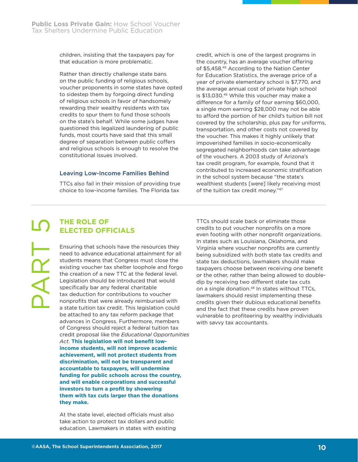children, insisting that the taxpayers pay for that education is more problematic.

Rather than directly challenge state bans on the public funding of religious schools, voucher proponents in some states have opted to sidestep them by forgoing direct funding of religious schools in favor of handsomely rewarding their wealthy residents with tax credits to spur them to fund those schools on the state's behalf. While some judges have questioned this legalized laundering of public funds, most courts have said that this small degree of separation between public coffers and religious schools is enough to resolve the constitutional issues involved.

#### Leaving Low-Income Families Behind

TTCs also fail in their mission of providing true choice to low-income families. The Florida tax

credit, which is one of the largest programs in the country, has an average voucher offering of \$5,458.45 According to the Nation Center for Education Statistics, the average price of a year of private elementary school is \$7,770, and the average annual cost of private high school is \$13,030.46 While this voucher may make a difference for a family of four earning \$60,000, a single mom earning \$28,000 may not be able to afford the portion of her child's tuition bill not covered by the scholarship, plus pay for uniforms, transportation, and other costs not covered by the voucher. This makes it highly unlikely that impoverished families in socio-economically segregated neighborhoods can take advantage of the vouchers. A 2003 study of Arizona's tax credit program, for example, found that it contributed to increased economic stratification in the school system because "the state's wealthiest students [were] likely receiving most of the tuition tax credit money."47

# **THE ROLE OF ELECTED OFFICIALS**

PART

Ensuring that schools have the resources they need to advance educational attainment for all students means that Congress must close the existing voucher tax shelter loophole and forgo the creation of a new TTC at the federal level. Legislation should be introduced that would specifically bar any federal charitable tax deduction for contributions to voucher nonprofits that were already reimbursed with a state tuition tax credit. This legislation could be attached to any tax reform package that advances in Congress. Furthermore, members of Congress should reject a federal tuition tax credit proposal like the *Educational Opportunities Act*. **This legislation will not benefit lowincome students, will not improve academic achievement, will not protect students from discrimination, will not be transparent and accountable to taxpayers, will undermine funding for public schools across the country, and will enable corporations and successful investors to turn a profit by showering them with tax cuts larger than the donations they make.**

At the state level, elected officials must also take action to protect tax dollars and public education. Lawmakers in states with existing TTCs should scale back or eliminate those credits to put voucher nonprofits on a more even footing with other nonprofit organizations. In states such as Louisiana, Oklahoma, and Virginia where voucher nonprofits are currently being subsidized with both state tax credits and state tax deductions, lawmakers should make taxpayers choose between receiving one benefit or the other, rather than being allowed to doubledip by receiving two different state tax cuts on a single donation.<sup>48</sup> In states without TTCs, lawmakers should resist implementing these credits given their dubious educational benefits and the fact that these credits have proven vulnerable to profiteering by wealthy individuals with savvy tax accountants.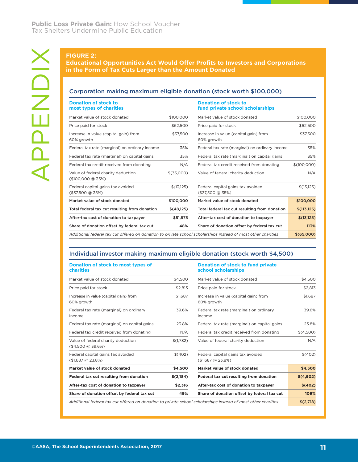#### Corporation making maximum eligible donation (stock worth \$100,000)

|            | fund private school scholarships                      |                                                                                                     |
|------------|-------------------------------------------------------|-----------------------------------------------------------------------------------------------------|
| \$100,000  | Market value of stock donated                         | \$100,000                                                                                           |
| \$62,500   | Price paid for stock                                  | \$62,500                                                                                            |
| \$37,500   | Increase in value (capital gain) from<br>60% growth   | \$37,500                                                                                            |
| 35%        | Federal tax rate (marginal) on ordinary income        | 35%                                                                                                 |
| 35%        | Federal tax rate (marginal) on capital gains          | 35%                                                                                                 |
| N/A        | Federal tax credit received from donating             | \$(100,000)                                                                                         |
| \$(35,000) | Value of federal charity deduction                    | N/A                                                                                                 |
| \$(13,125) | Federal capital gains tax avoided<br>(\$37,500 @ 35%) | \$(13,125)                                                                                          |
| \$100,000  | Market value of stock donated                         | \$100,000                                                                                           |
| \$(48,125) | Total federal tax cut resulting from donation         | \$(113, 125)                                                                                        |
| \$51,875   | After-tax cost of donation to taxpayer                | \$(13,125)                                                                                          |
|            |                                                       |                                                                                                     |
|            |                                                       | Corporation making maximum eligible donation (stock worth \$100,000)<br><b>Donation of stock to</b> |

#### Individual investor making maximum eligible donation (stock worth \$4,500)

#### **Donation of stock to most types of charities**

#### **Donation of stock to fund private school scholarships**

| Market value of stock donated                                                                                 | \$4,500   | Market value of stock donated                                     | \$4,500   |
|---------------------------------------------------------------------------------------------------------------|-----------|-------------------------------------------------------------------|-----------|
| Price paid for stock                                                                                          | \$2.813   | Price paid for stock                                              | \$2,813   |
| Increase in value (capital gain) from<br>60% growth                                                           | \$1.687   | Increase in value (capital gain) from<br>60% growth               | \$1,687   |
| Federal tax rate (marginal) on ordinary<br>income                                                             | 39.6%     | Federal tax rate (marginal) on ordinary<br>income                 | 39.6%     |
| Federal tax rate (marginal) on capital gains                                                                  | 23.8%     | Federal tax rate (marginal) on capital gains                      | 23.8%     |
| Federal tax credit received from donating                                                                     | N/A       | Federal tax credit received from donating                         | \$(4,500) |
| Value of federal charity deduction<br>$($4,500 \text{ @ } 39.6\%)$                                            | \$(1,782) | Value of federal charity deduction                                | N/A       |
| Federal capital gains tax avoided<br>$($1,687 \text{ @ } 23.8\%)$                                             | \$(402)   | Federal capital gains tax avoided<br>$($1,687 \text{ @ } 23.8\%)$ | \$(402)   |
| Market value of stock donated                                                                                 | \$4,500   | Market value of stock donated                                     | \$4,500   |
| Federal tax cut resulting from donation                                                                       | \$(2,184) | Federal tax cut resulting from donation                           | \$(4,902) |
| After-tax cost of donation to taxpayer                                                                        | \$2,316   | After-tax cost of donation to taxpayer                            | \$(402)   |
| Share of donation offset by federal tax cut                                                                   | 49%       | Share of donation offset by federal tax cut                       | 109%      |
| Additional federal tax cut offered on donation to private school scholarships instead of most other charities |           |                                                                   |           |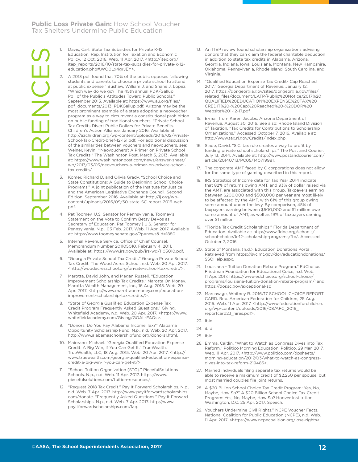1. Davis, Carl. State Tax Subsidies for Private K-12 Education. Rep. Institution for Taxation and Economic Policy, 12 Oct. 2016. Web. 11 Apr. 2017. <http://itep.org/ itep\_reports/2016/10/state-tax-subsidies-for-private-k-12 education.php#.WO0Lx4grJEY>.

- 2. A 2013 poll found that 70% of the public opposes "allowing students and parents to choose a private school to attend at public expense." Bushaw, William J. and Shane J. Lopez. "Which way do we go? The 45th annual PDK/Gallup Poll of the Public's Attitudes Toward Public Schools." September 2013. Available at: https://www.au.org/files/ pdf\_documents/2013\_PDKGallup.pdf. Arizona may be the most prominent example of a state adopting a neovoucher program as a way to circumvent a constitutional prohibition on public funding of traditional vouchers. "Private School Tax Credits Divert Public Dollars for Private Benefits. Children's Action Alliance. January 2016. Available at: http://azchildren.org/wp-content/uploads/2016/02/Private-School-Tax-Credit-brief-12-151.pdf. For additional discussion of the similarities between vouchers and neovouchers, see: Welner, Kevin. "'Neovouchers': A Primer on Private School Tax Credits." The Washington Post. March 3, 2013. Available at: https://www.washingtonpost.com/news/answer-sheet/ wp/2013/03/03/neovouchers-a-primer-on-private-schooltax-credits/.
- 3. Komer, Richard D. and Olivia Grady. "School Choice and State Constitutions: A Guide to Designing School Choice Programs." A joint publication of the Institute for Justice and the American Legislative Exchange Council. Second Edition. September 2016. Available at: http://ij.org/wpcontent/uploads/2016/09/50-state-SC-report-2016-web. pdf.
- 4. Pat Toomey, U.S. Senator for Pennsylvania. Toomey's Statement on the Vote to Confirm Betsy DeVos as Secretary of Education. Pat Toomey | U.S. Senator for Pennsylvania. N.p., 03 Feb. 2017. Web. 11 Apr. 2017. Available at: https:/www.toomey.senate.gov/?p=news&id=1880.
- 5. Internal Revenue Service, Office of Chief Counsel. Memorandum Number 201105010. February 4, 2011. Available at: https://www.irs.gov/pub/irs-wd/1105010.pdf.
- 6. "Georgia Private School Tax Credit." Georgia Private School Tax Credit. The Wood Acres School, n.d. Web. 20 Apr. 2017. <http://woodacresschool.org/private-school-tax-credit/>.
- 7. Marotta, David John, and Megan Russell. "Education Improvement Scholarship Tax Credits." Marotta On Money. Marotta Wealth Management, Inc., 16 Aug. 2015. Web. 20 Apr. 2017. <http://www.marottaonmoney.com/educationimprovement-scholarship-tax-credits/>.
- 8. "State of Georgia Qualified Education Expense Tax Credit Program Frequently Asked Questions." Giving. Whitefield Academy, n.d. Web. 20 Apr. 2017. <https://www. whitefieldacademy.com/Giving/GOAL-FAQs>.
- 9. "Donors: Do You Pay Alabama Income Tax?" Alabama Opportunity Scholarship Fund. N.p., n.d. Web. 20 Apr. 2017. http://www.alabamascholarshipfund.org/donors1.html.
- 10. Maiorano, Michael. "Georgia Qualified Education Expense Credit: A Big Win, If You Can Get It." TrueWealth. TrueWealth, LLC, 18 Aug. 2015. Web. 20 Apr. 2017. <http:// www.truewealth.com/georgia-qualified-education-expensecredit-a-big-win-if-you-can-get-it/>.
- 11. "School Tuition Organization (STO)." PiecefulSolutions Schools. N.p., n.d. Web. 11 Apr. 2017. https://www. piecefulsolutions.com/tuition-resources/.
- 12. "Request 2018 Tax Credit." Pay It Forward Scholarships. N.p., n.d. Web. 7 Apr. 2017. http://www.payitforwardscholarships. com/donate. "Frequently Asked Questions." Pay It Forward Scholarships. N.p., n.d. Web. 7 Apr. 2017. http://www. payitforwardscholarships.com/faq.
- 13. An ITEP review found scholarship organizations advising donors that they can claim the federal charitable deduction in addition to state tax credits in Alabama, Arizona, Georgia, Indiana, Iowa, Louisiana, Montana, New Hampshire, Oklahoma, Pennsylvania, Rhode Island, South Carolina, and Virginia.
- 14. "Qualified Education Expense Tax Credit- Cap Reached 2017." Georgia Department of Revenue. January 12, 2017. https://dor.georgia.gov/sites/dor.georgia.gov/files/ related\_files/document/LATP/Public%20Notice/2017%20 QUALIFIED%20EDUCATION%20EXPENSE%20TAX%20 CREDIT%20-%20Cap%20Reached%20-%20DOR%20 Website%201-12-17.pdf
- 15. E-mail from Karen Jacobs, Arizona Department of Revenue. August 30, 2016. See also: Rhode Island Division of Taxation. "Tax Credits for Contributions to Scholarship Organizations." Accessed October 7, 2016. Available at: http://www.tax.ri.gov/Credits/index.php.
- 16. Slade, David. "S.C. tax rule creates a way to profit by funding private school scholarships." The Post and Courier. July 13, 2014. Available at: http://www.postandcourier.com/ article/20140713/PC05/140719981.
- The corporate AMT faced by C corporations does not allow for the same type of gaming described in this report.
- 18. IRS Statistics of Income data for Tax Year 2014 indicate that 82% of returns owing AMT, and 93% of dollar raised via the AMT, are associated with this group. Taxpayers earning between \$200,000 and \$500,000 per year are most likely to be affected by the AMT, with 61% of this group owing some amount under the levy. By comparison, 45% of taxpayers earning between \$500,000 and \$1 million owe some amount of AMT, as well as 19% of taxpayers earning over \$1 million.
- 19. "Florida Tax Credit Scholarships." Florida Department of Education. Available at: http://www.fldoe.org/schools/ school-choice/k-12-scholarship-programs/ftc/. Accessed October 7, 2016.
- 20. State of Montana. (n.d.). Education Donations Portal. Retrieved from https://svc.mt.gov/dor/educationdonations/ SSOHelp.aspx.
- 21. Louisiana Tuition Donation Rebate Program." EdChoice. Friedman Foundation for Educational Coice, n.d. Web. 11 Apr. 2017. https://www.edchoice.org/school-choice/ programs/louisiana-tuition-donation-rebate-program/' and https://dor.sc.gov/exceptional-sc
- 22. Marcavage, Whitney R. 2016/17 SCHOOL CHOICE REPORT CARD. Rep. American Federation for Children, 25 Aug. 2016. Web. 11 Apr. 2017. <http://www.federationforchildren. org/wp-content/uploads/2016/08/AFC\_2016\_ reportcard2.1\_hires.pdf>.
- 23. Ibid
- 24. ibid
- 25. Ibid
- 26. Emma, Caitlin. "What to Watch as Congress Dives into Tax Reform." Politico Morning Education. Politico, 29 Mar. 2017. Web. 11 Apr. 2017. <http://www.politico.com/tipsheets/ morning-education/2017/03/what-to-watch-as-congressdives-into-tax-reform-219485>.
- 27. Married individuals filing separate tax returns would be able to receive a maximum credit of \$2,250 per spouse, but most married couples file joint returns.
- 28. A \$20 Billion School Choice Tax Credit Program: Yes, No, Maybe, How So?" A \$20 Billion School Choice Tax Credit Program: Yes, No, Maybe, How So? Hoover Institution, Washington, D.C. 25 Apr. 2017. Speech.
- 29. Vouchers Undermine Civil Rights." NCPE Voucher Facts. National Coalition for Public Education (NCPE), n.d. Web. 11 Apr. 2017. <https://www.ncpecoalition.org/lose-rights>.